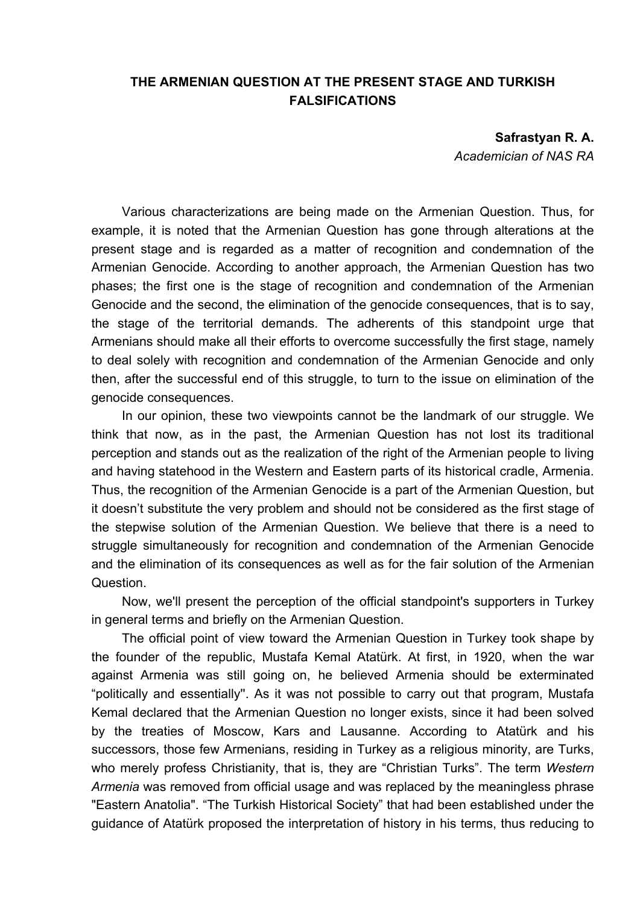## **THE ARMENIAN QUESTION AT THE PRESENT STAGE AND TURKISH FALSIFICATIONS**

**Safrastyan R. A.** 

*Academician of NAS RA* 

Various characterizations are being made on the Armenian Question. Thus, for example, it is noted that the Armenian Question has gone through alterations at the present stage and is regarded as a matter of recognition and condemnation of the Armenian Genocide. According to another approach, the Armenian Question has two phases; the first one is the stage of recognition and condemnation of the Armenian Genocide and the second, the elimination of the genocide consequences, that is to say, the stage of the territorial demands. The adherents of this standpoint urge that Armenians should make all their efforts to overcome successfully the first stage, namely to deal solely with recognition and condemnation of the Armenian Genocide and only then, after the successful end of this struggle, to turn to the issue on elimination of the genocide consequences.

In our opinion, these two viewpoints cannot be the landmark of our struggle. We think that now, as in the past, the Armenian Question has not lost its traditional perception and stands out as the realization of the right of the Armenian people to living and having statehood in the Western and Eastern parts of its historical cradle, Armenia. Thus, the recognition of the Armenian Genocide is a part of the Armenian Question, but it doesn't substitute the very problem and should not be considered as the first stage of the stepwise solution of the Armenian Question. We believe that there is a need to struggle simultaneously for recognition and condemnation of the Armenian Genocide and the elimination of its consequences as well as for the fair solution of the Armenian Question.

Now, we'll present the perception of the official standpoint's supporters in Turkey in general terms and briefly on the Armenian Question.

The official point of view toward the Armenian Question in Turkey took shape by the founder of the republic, Mustafa Kemal Atatürk. At first, in 1920, when the war against Armenia was still going on, he believed Armenia should be exterminated "politically and essentially''. As it was not possible to carry out that program, Mustafa Kemal declared that the Armenian Question no longer exists, since it had been solved by the treaties of Moscow, Kars and Lausanne. According to Atatürk and his successors, those few Armenians, residing in Turkey as a religious minority, are Turks, who merely profess Christianity, that is, they are "Christian Turks". The term *Western Armenia* was removed from official usage and was replaced by the meaningless phrase "Eastern Anatolia". "The Turkish Historical Society" that had been established under the guidance of Atatürk proposed the interpretation of history in his terms, thus reducing to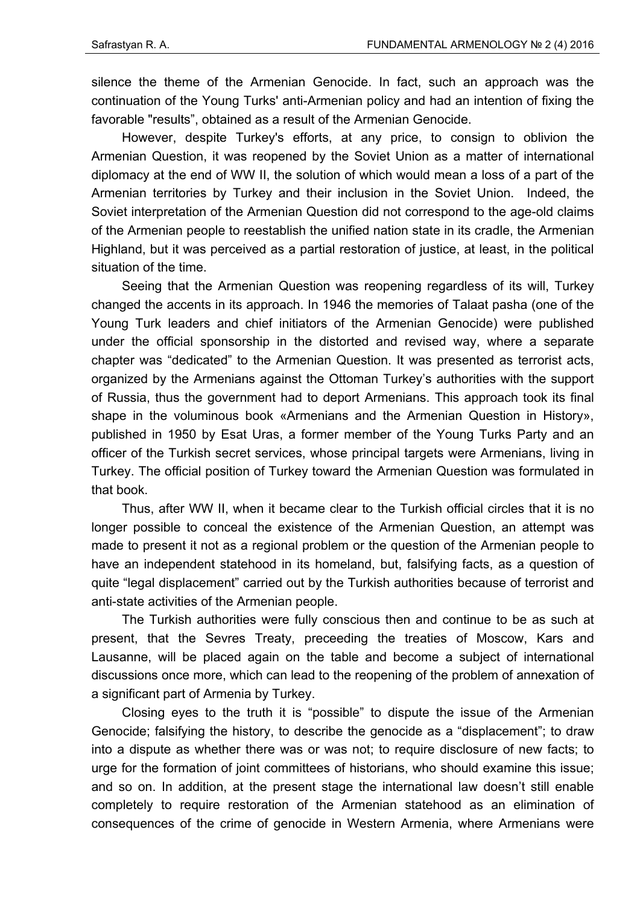silence the theme of the Armenian Genocide. In fact, such an approach was the continuation of the Young Turks' anti-Armenian policy and had an intention of fixing the favorable "results", obtained as a result of the Armenian Genocide.

However, despite Turkey's efforts, at any price, to consign to oblivion the Armenian Question, it was reopened by the Soviet Union as a matter of international diplomacy at the end of WW II, the solution of which would mean a loss of a part of the Armenian territories by Turkey and their inclusion in the Soviet Union. Indeed, the Soviet interpretation of the Armenian Question did not correspond to the age-old claims of the Armenian people to reestablish the unified nation state in its cradle, the Armenian Highland, but it was perceived as a partial restoration of justice, at least, in the political situation of the time.

Seeing that the Armenian Question was reopening regardless of its will, Turkey changed the accents in its approach. In 1946 the memories of Talaat pasha (one of the Young Turk leaders and chief initiators of the Armenian Genocide) were published under the official sponsorship in the distorted and revised way, where a separate chapter was "dedicated" to the Armenian Question. It was presented as terrorist acts, organized by the Armenians against the Ottoman Turkey's authorities with the support of Russia, thus the government had to deport Armenians. This approach took its final shape in the voluminous book «Armenians and the Armenian Question in History», published in 1950 by Esat Uras, a former member of the Young Turks Party and an officer of the Turkish secret services, whose principal targets were Armenians, living in Turkey. The official position of Turkey toward the Armenian Question was formulated in that book.

Thus, after WW II, when it became clear to the Turkish official circles that it is no longer possible to conceal the existence of the Armenian Question, an attempt was made to present it not as a regional problem or the question of the Armenian people to have an independent statehood in its homeland, but, falsifying facts, as a question of quite "legal displacement" carried out by the Turkish authorities because of terrorist and anti-state activities of the Armenian people.

The Turkish authorities were fully conscious then and continue to be as such at present, that the Sevres Treaty, preceeding the treaties of Moscow, Kars and Lausanne, will be placed again on the table and become a subject of international discussions once more, which can lead to the reopening of the problem of annexation of a significant part of Armenia by Turkey.

Closing eyes to the truth it is "possible" to dispute the issue of the Armenian Genocide; falsifying the history, to describe the genocide as a "displacement"; to draw into a dispute as whether there was or was not; to require disclosure of new facts; to urge for the formation of joint committees of historians, who should examine this issue; and so on. In addition, at the present stage the international law doesn't still enable completely to require restoration of the Armenian statehood as an elimination of consequences of the crime of genocide in Western Armenia, where Armenians were